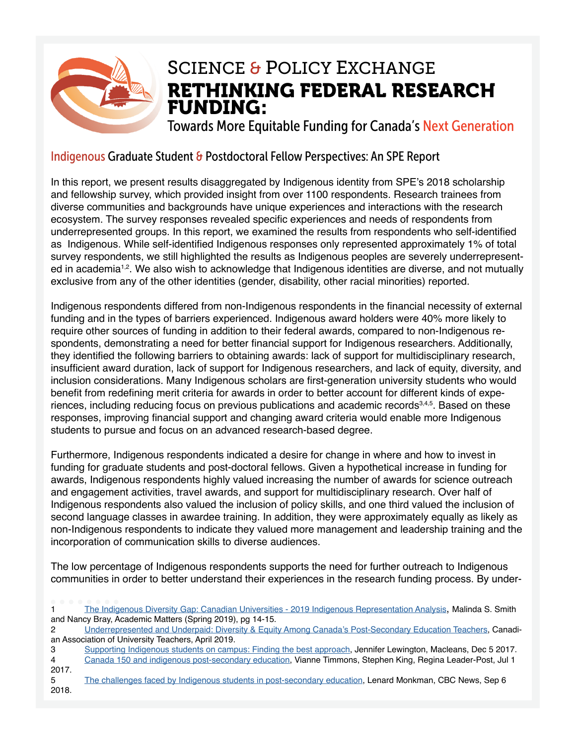

### RETHINKING FEDERAL RESEARCH FUNDING: SCIENCE & POLICY EXCHANGE

Towards More Equitable Funding for Canada's Next Generation

#### Indigenous Graduate Student & Postdoctoral Fellow Perspectives: An SPE Report

In this report, we present results disaggregated by Indigenous identity from SPE's 2018 scholarship and fellowship survey, which provided insight from over 1100 respondents. Research trainees from diverse communities and backgrounds have unique experiences and interactions with the research ecosystem. The survey responses revealed specifc experiences and needs of respondents from underrepresented groups. In this report, we examined the results from respondents who self-identifed as Indigenous. While self-identifed Indigenous responses only represented approximately 1% of total survey respondents, we still highlighted the results as Indigenous peoples are severely underrepresented in academia<sup>1,2</sup>. We also wish to acknowledge that Indigenous identities are diverse, and not mutually exclusive from any of the other identities (gender, disability, other racial minorities) reported.

Indigenous respondents differed from non-Indigenous respondents in the fnancial necessity of external funding and in the types of barriers experienced. Indigenous award holders were 40% more likely to require other sources of funding in addition to their federal awards, compared to non-Indigenous respondents, demonstrating a need for better financial support for Indigenous researchers. Additionally, they identifed the following barriers to obtaining awards: lack of support for multidisciplinary research, insufficient award duration, lack of support for Indigenous researchers, and lack of equity, diversity, and inclusion considerations. Many Indigenous scholars are frst-generation university students who would benefit from redefining merit criteria for awards in order to better account for different kinds of experiences, including reducing focus on previous publications and academic records<sup>3,4,5</sup>. Based on these responses, improving financial support and changing award criteria would enable more Indigenous students to pursue and focus on an advanced research-based degree.

Furthermore, Indigenous respondents indicated a desire for change in where and how to invest in funding for graduate students and post-doctoral fellows. Given a hypothetical increase in funding for awards, Indigenous respondents highly valued increasing the number of awards for science outreach and engagement activities, travel awards, and support for multidisciplinary research. Over half of Indigenous respondents also valued the inclusion of policy skills, and one third valued the inclusion of second language classes in awardee training. In addition, they were approximately equally as likely as non-Indigenous respondents to indicate they valued more management and leadership training and the incorporation of communication skills to diverse audiences.

The low percentage of Indigenous respondents supports the need for further outreach to Indigenous communities in order to better understand their experiences in the research funding process. By under-

| The Indigenous Diversity Gap: Canadian Universities - 2019 Indigenous Representation Analysis, Malinda S. Smith |
|-----------------------------------------------------------------------------------------------------------------|
| and Nancy Bray, Academic Matters (Spring 2019), pg 14-15.                                                       |
| Underrepresented and Underpaid: Diversity & Equity Among Canada's Post-Secondary Education Teachers, Canadi-    |
| an Association of University Teachers, April 2019.                                                              |
| Supporting Indigenous students on campus: Finding the best approach, Jennifer Lewington, Macleans, Dec 5 2017.  |
| Canada 150 and indigenous post-secondary education, Vianne Timmons, Stephen King, Regina Leader-Post, Jul 1     |
|                                                                                                                 |
| The challenges faced by Indigenous students in post-secondary education, Lenard Monkman, CBC News, Sep 6        |
|                                                                                                                 |
|                                                                                                                 |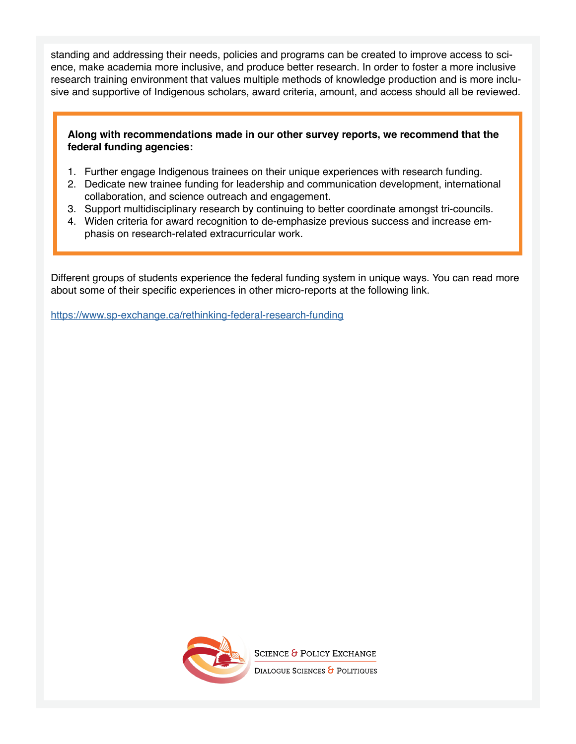standing and addressing their needs, policies and programs can be created to improve access to science, make academia more inclusive, and produce better research. In order to foster a more inclusive research training environment that values multiple methods of knowledge production and is more inclusive and supportive of Indigenous scholars, award criteria, amount, and access should all be reviewed.

#### **Along with recommendations made in our other survey reports, we recommend that the federal funding agencies:**

- 1. Further engage Indigenous trainees on their unique experiences with research funding.
- 2. Dedicate new trainee funding for leadership and communication development, international collaboration, and science outreach and engagement.
- 3. Support multidisciplinary research by continuing to better coordinate amongst tri-councils.
- 4. Widen criteria for award recognition to de-emphasize previous success and increase emphasis on research-related extracurricular work.

Different groups of students experience the federal funding system in unique ways. You can read more about some of their specific experiences in other micro-reports at the following link.

<https://www.sp-exchange.ca/rethinking-federal-research-funding>



**SCIENCE & POLICY EXCHANGE** 

DIALOGUE SCIENCES & POLITIQUES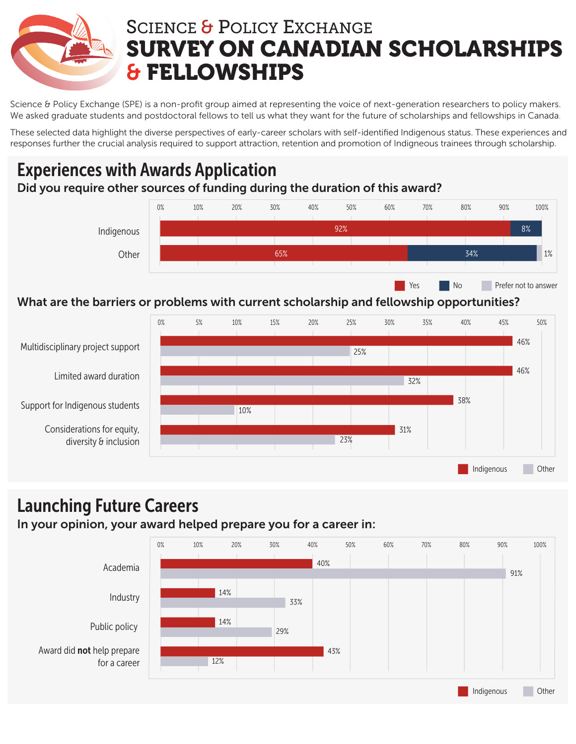

# SCIENCE & POLICY EXCHANGE SURVEY ON CANADIAN SCHOLARSHIPS & FELLOWSHIPS

Science & Policy Exchange (SPE) is a non-profit group aimed at representing the voice of next-generation researchers to policy makers. We asked graduate students and postdoctoral fellows to tell us what they want for the future of scholarships and fellowships in Canada.

These selected data highlight the diverse perspectives of early-career scholars with self-identified Indigenous status. These experiences and responses further the crucial analysis required to support attraction, retention and promotion of Indigneous trainees through scholarship.

### Experiences with Awards Application Did you require other sources of funding during the duration of this award?



#### What are the barriers or problems with current scholarship and fellowship opportunities?



### Launching Future Careers

#### In your opinion, your award helped prepare you for a career in:



Indigenous Other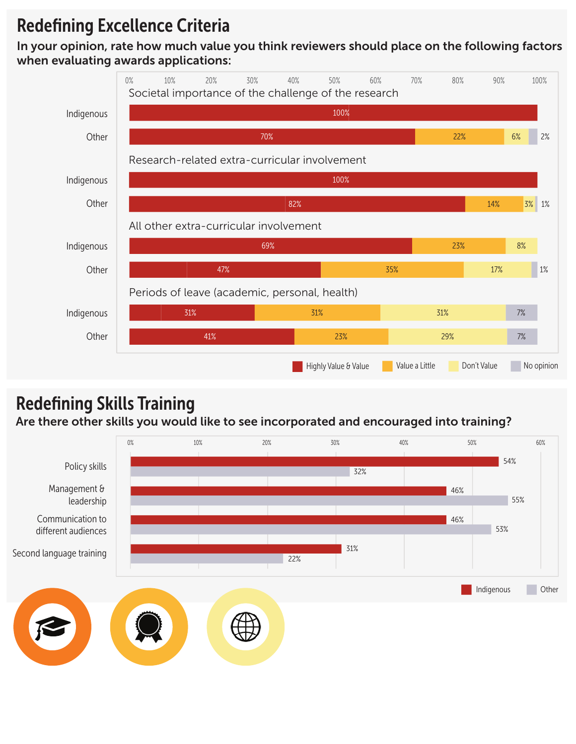## Redefining Excellence Criteria

In your opinion, rate how much value you think reviewers should place on the following factors when evaluating awards applications:



# Redefining Skills Training

Are there other skills you would like to see incorporated and encouraged into training?